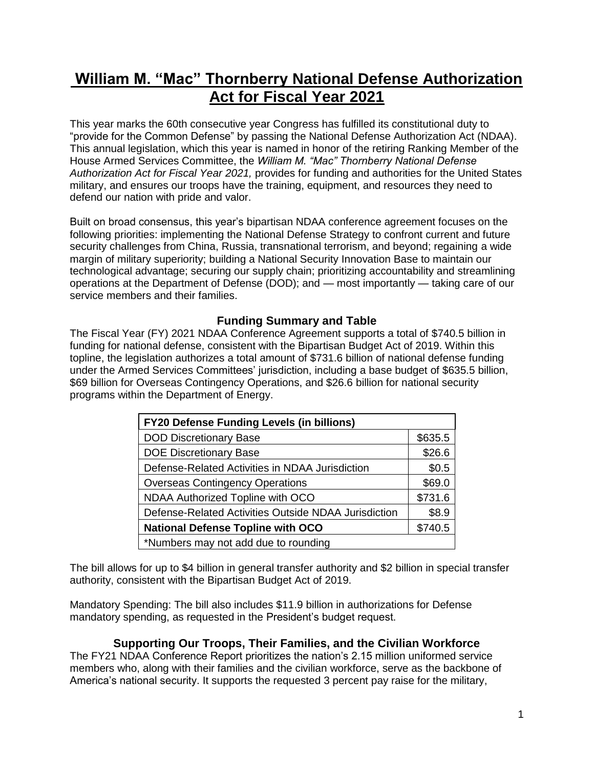# **William M. "Mac" Thornberry National Defense Authorization Act for Fiscal Year 2021**

This year marks the 60th consecutive year Congress has fulfilled its constitutional duty to "provide for the Common Defense" by passing the National Defense Authorization Act (NDAA). This annual legislation, which this year is named in honor of the retiring Ranking Member of the House Armed Services Committee, the *William M. "Mac" Thornberry National Defense Authorization Act for Fiscal Year 2021,* provides for funding and authorities for the United States military, and ensures our troops have the training, equipment, and resources they need to defend our nation with pride and valor.

Built on broad consensus, this year's bipartisan NDAA conference agreement focuses on the following priorities: implementing the National Defense Strategy to confront current and future security challenges from China, Russia, transnational terrorism, and beyond; regaining a wide margin of military superiority; building a National Security Innovation Base to maintain our technological advantage; securing our supply chain; prioritizing accountability and streamlining operations at the Department of Defense (DOD); and — most importantly — taking care of our service members and their families.

# **Funding Summary and Table**

The Fiscal Year (FY) 2021 NDAA Conference Agreement supports a total of \$740.5 billion in funding for national defense, consistent with the Bipartisan Budget Act of 2019. Within this topline, the legislation authorizes a total amount of \$731.6 billion of national defense funding under the Armed Services Committees' jurisdiction, including a base budget of \$635.5 billion, \$69 billion for Overseas Contingency Operations, and \$26.6 billion for national security programs within the Department of Energy.

| <b>FY20 Defense Funding Levels (in billions)</b>     |         |
|------------------------------------------------------|---------|
| <b>DOD Discretionary Base</b>                        | \$635.5 |
| <b>DOE Discretionary Base</b>                        | \$26.6  |
| Defense-Related Activities in NDAA Jurisdiction      | \$0.5   |
| <b>Overseas Contingency Operations</b>               | \$69.0  |
| NDAA Authorized Topline with OCO                     | \$731.6 |
| Defense-Related Activities Outside NDAA Jurisdiction | \$8.9   |
| <b>National Defense Topline with OCO</b>             | \$740.5 |
| *Numbers may not add due to rounding                 |         |

The bill allows for up to \$4 billion in general transfer authority and \$2 billion in special transfer authority, consistent with the Bipartisan Budget Act of 2019.

Mandatory Spending: The bill also includes \$11.9 billion in authorizations for Defense mandatory spending, as requested in the President's budget request.

# **Supporting Our Troops, Their Families, and the Civilian Workforce**

The FY21 NDAA Conference Report prioritizes the nation's 2.15 million uniformed service members who, along with their families and the civilian workforce, serve as the backbone of America's national security. It supports the requested 3 percent pay raise for the military,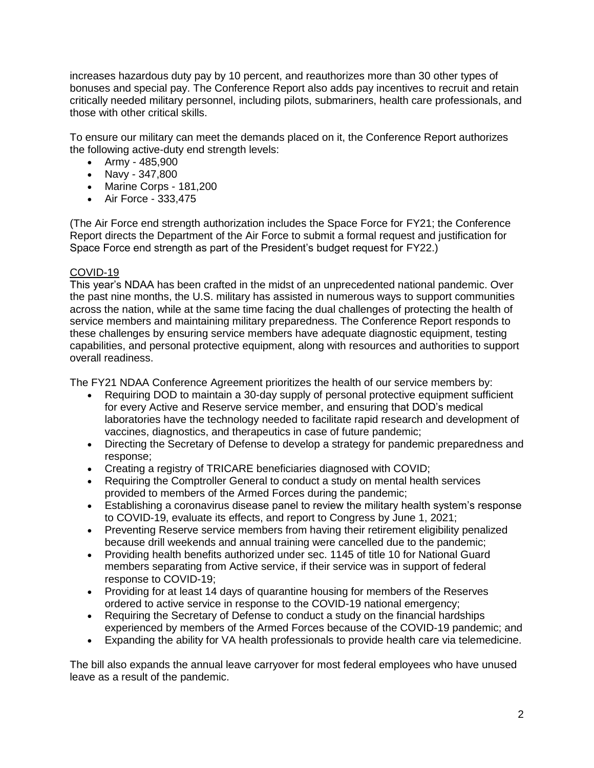increases hazardous duty pay by 10 percent, and reauthorizes more than 30 other types of bonuses and special pay. The Conference Report also adds pay incentives to recruit and retain critically needed military personnel, including pilots, submariners, health care professionals, and those with other critical skills.

To ensure our military can meet the demands placed on it, the Conference Report authorizes the following active-duty end strength levels:

- Army 485,900
- Navy 347,800
- Marine Corps 181,200
- Air Force 333,475

(The Air Force end strength authorization includes the Space Force for FY21; the Conference Report directs the Department of the Air Force to submit a formal request and justification for Space Force end strength as part of the President's budget request for FY22.)

## COVID-19

This year's NDAA has been crafted in the midst of an unprecedented national pandemic. Over the past nine months, the U.S. military has assisted in numerous ways to support communities across the nation, while at the same time facing the dual challenges of protecting the health of service members and maintaining military preparedness. The Conference Report responds to these challenges by ensuring service members have adequate diagnostic equipment, testing capabilities, and personal protective equipment, along with resources and authorities to support overall readiness.

The FY21 NDAA Conference Agreement prioritizes the health of our service members by:

- Requiring DOD to maintain a 30-day supply of personal protective equipment sufficient for every Active and Reserve service member, and ensuring that DOD's medical laboratories have the technology needed to facilitate rapid research and development of vaccines, diagnostics, and therapeutics in case of future pandemic;
- Directing the Secretary of Defense to develop a strategy for pandemic preparedness and response;
- Creating a registry of TRICARE beneficiaries diagnosed with COVID;
- Requiring the Comptroller General to conduct a study on mental health services provided to members of the Armed Forces during the pandemic;
- Establishing a coronavirus disease panel to review the military health system's response to COVID-19, evaluate its effects, and report to Congress by June 1, 2021;
- Preventing Reserve service members from having their retirement eligibility penalized because drill weekends and annual training were cancelled due to the pandemic;
- Providing health benefits authorized under sec. 1145 of title 10 for National Guard members separating from Active service, if their service was in support of federal response to COVID-19;
- Providing for at least 14 days of quarantine housing for members of the Reserves ordered to active service in response to the COVID-19 national emergency;
- Requiring the Secretary of Defense to conduct a study on the financial hardships experienced by members of the Armed Forces because of the COVID-19 pandemic; and
- Expanding the ability for VA health professionals to provide health care via telemedicine.

The bill also expands the annual leave carryover for most federal employees who have unused leave as a result of the pandemic.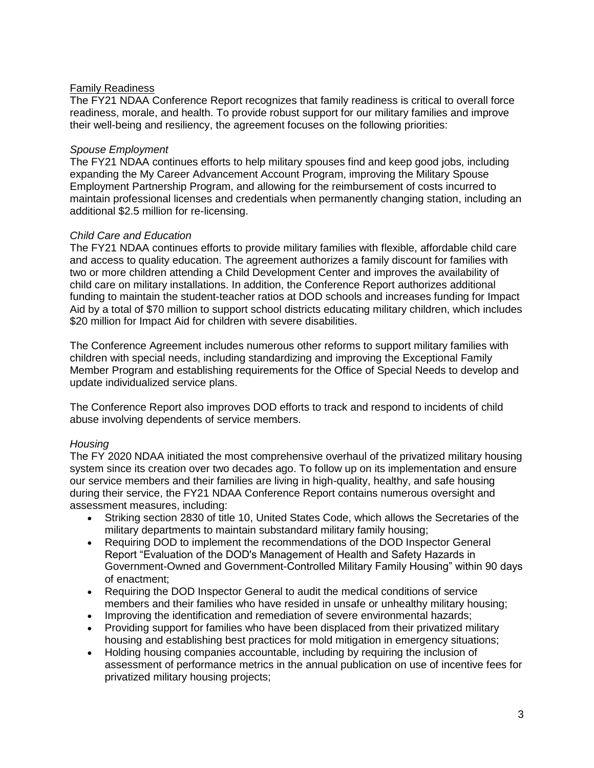## Family Readiness

The FY21 NDAA Conference Report recognizes that family readiness is critical to overall force readiness, morale, and health. To provide robust support for our military families and improve their well-being and resiliency, the agreement focuses on the following priorities:

#### *Spouse Employment*

The FY21 NDAA continues efforts to help military spouses find and keep good jobs, including expanding the My Career Advancement Account Program, improving the Military Spouse Employment Partnership Program, and allowing for the reimbursement of costs incurred to maintain professional licenses and credentials when permanently changing station, including an additional \$2.5 million for re-licensing.

#### *Child Care and Education*

The FY21 NDAA continues efforts to provide military families with flexible, affordable child care and access to quality education. The agreement authorizes a family discount for families with two or more children attending a Child Development Center and improves the availability of child care on military installations. In addition, the Conference Report authorizes additional funding to maintain the student-teacher ratios at DOD schools and increases funding for Impact Aid by a total of \$70 million to support school districts educating military children, which includes \$20 million for Impact Aid for children with severe disabilities.

The Conference Agreement includes numerous other reforms to support military families with children with special needs, including standardizing and improving the Exceptional Family Member Program and establishing requirements for the Office of Special Needs to develop and update individualized service plans.

The Conference Report also improves DOD efforts to track and respond to incidents of child abuse involving dependents of service members.

## *Housing*

The FY 2020 NDAA initiated the most comprehensive overhaul of the privatized military housing system since its creation over two decades ago. To follow up on its implementation and ensure our service members and their families are living in high-quality, healthy, and safe housing during their service, the FY21 NDAA Conference Report contains numerous oversight and assessment measures, including:

- Striking section 2830 of title 10, United States Code, which allows the Secretaries of the military departments to maintain substandard military family housing;
- Requiring DOD to implement the recommendations of the DOD Inspector General Report "Evaluation of the DOD's Management of Health and Safety Hazards in Government-Owned and Government-Controlled Military Family Housing" within 90 days of enactment;
- Requiring the DOD Inspector General to audit the medical conditions of service members and their families who have resided in unsafe or unhealthy military housing;
- Improving the identification and remediation of severe environmental hazards;
- Providing support for families who have been displaced from their privatized military housing and establishing best practices for mold mitigation in emergency situations;
- Holding housing companies accountable, including by requiring the inclusion of assessment of performance metrics in the annual publication on use of incentive fees for privatized military housing projects;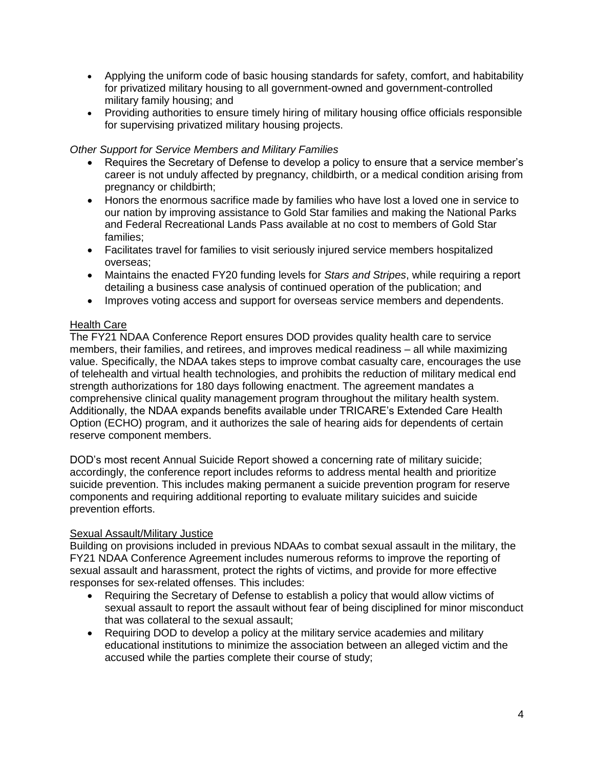- Applying the uniform code of basic housing standards for safety, comfort, and habitability for privatized military housing to all government-owned and government-controlled military family housing; and
- Providing authorities to ensure timely hiring of military housing office officials responsible for supervising privatized military housing projects.

## *Other Support for Service Members and Military Families*

- Requires the Secretary of Defense to develop a policy to ensure that a service member's career is not unduly affected by pregnancy, childbirth, or a medical condition arising from pregnancy or childbirth;
- Honors the enormous sacrifice made by families who have lost a loved one in service to our nation by improving assistance to Gold Star families and making the National Parks and Federal Recreational Lands Pass available at no cost to members of Gold Star families;
- Facilitates travel for families to visit seriously injured service members hospitalized overseas;
- Maintains the enacted FY20 funding levels for *Stars and Stripes*, while requiring a report detailing a business case analysis of continued operation of the publication; and
- Improves voting access and support for overseas service members and dependents.

#### Health Care

The FY21 NDAA Conference Report ensures DOD provides quality health care to service members, their families, and retirees, and improves medical readiness – all while maximizing value. Specifically, the NDAA takes steps to improve combat casualty care, encourages the use of telehealth and virtual health technologies, and prohibits the reduction of military medical end strength authorizations for 180 days following enactment. The agreement mandates a comprehensive clinical quality management program throughout the military health system. Additionally, the NDAA expands benefits available under TRICARE's Extended Care Health Option (ECHO) program, and it authorizes the sale of hearing aids for dependents of certain reserve component members.

DOD's most recent Annual Suicide Report showed a concerning rate of military suicide; accordingly, the conference report includes reforms to address mental health and prioritize suicide prevention. This includes making permanent a suicide prevention program for reserve components and requiring additional reporting to evaluate military suicides and suicide prevention efforts.

#### Sexual Assault/Military Justice

Building on provisions included in previous NDAAs to combat sexual assault in the military, the FY21 NDAA Conference Agreement includes numerous reforms to improve the reporting of sexual assault and harassment, protect the rights of victims, and provide for more effective responses for sex-related offenses. This includes:

- Requiring the Secretary of Defense to establish a policy that would allow victims of sexual assault to report the assault without fear of being disciplined for minor misconduct that was collateral to the sexual assault;
- Requiring DOD to develop a policy at the military service academies and military educational institutions to minimize the association between an alleged victim and the accused while the parties complete their course of study;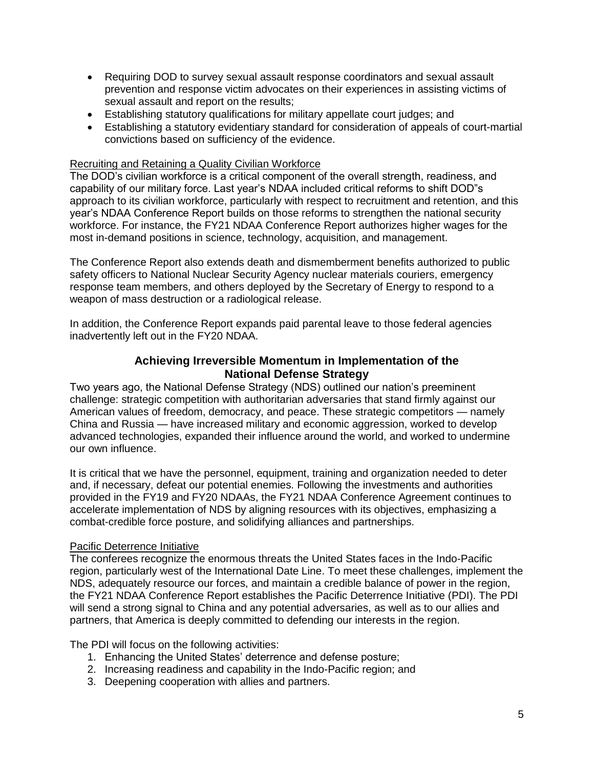- Requiring DOD to survey sexual assault response coordinators and sexual assault prevention and response victim advocates on their experiences in assisting victims of sexual assault and report on the results;
- Establishing statutory qualifications for military appellate court judges; and
- Establishing a statutory evidentiary standard for consideration of appeals of court-martial convictions based on sufficiency of the evidence.

#### Recruiting and Retaining a Quality Civilian Workforce

The DOD's civilian workforce is a critical component of the overall strength, readiness, and capability of our military force. Last year's NDAA included critical reforms to shift DOD"s approach to its civilian workforce, particularly with respect to recruitment and retention, and this year's NDAA Conference Report builds on those reforms to strengthen the national security workforce. For instance, the FY21 NDAA Conference Report authorizes higher wages for the most in-demand positions in science, technology, acquisition, and management.

The Conference Report also extends death and dismemberment benefits authorized to public safety officers to National Nuclear Security Agency nuclear materials couriers, emergency response team members, and others deployed by the Secretary of Energy to respond to a weapon of mass destruction or a radiological release.

In addition, the Conference Report expands paid parental leave to those federal agencies inadvertently left out in the FY20 NDAA.

## **Achieving Irreversible Momentum in Implementation of the National Defense Strategy**

Two years ago, the National Defense Strategy (NDS) outlined our nation's preeminent challenge: strategic competition with authoritarian adversaries that stand firmly against our American values of freedom, democracy, and peace. These strategic competitors — namely China and Russia — have increased military and economic aggression, worked to develop advanced technologies, expanded their influence around the world, and worked to undermine our own influence.

It is critical that we have the personnel, equipment, training and organization needed to deter and, if necessary, defeat our potential enemies. Following the investments and authorities provided in the FY19 and FY20 NDAAs, the FY21 NDAA Conference Agreement continues to accelerate implementation of NDS by aligning resources with its objectives, emphasizing a combat-credible force posture, and solidifying alliances and partnerships.

## Pacific Deterrence Initiative

The conferees recognize the enormous threats the United States faces in the Indo-Pacific region, particularly west of the International Date Line. To meet these challenges, implement the NDS, adequately resource our forces, and maintain a credible balance of power in the region, the FY21 NDAA Conference Report establishes the Pacific Deterrence Initiative (PDI). The PDI will send a strong signal to China and any potential adversaries, as well as to our allies and partners, that America is deeply committed to defending our interests in the region.

The PDI will focus on the following activities:

- 1. Enhancing the United States' deterrence and defense posture;
- 2. Increasing readiness and capability in the Indo-Pacific region; and
- 3. Deepening cooperation with allies and partners.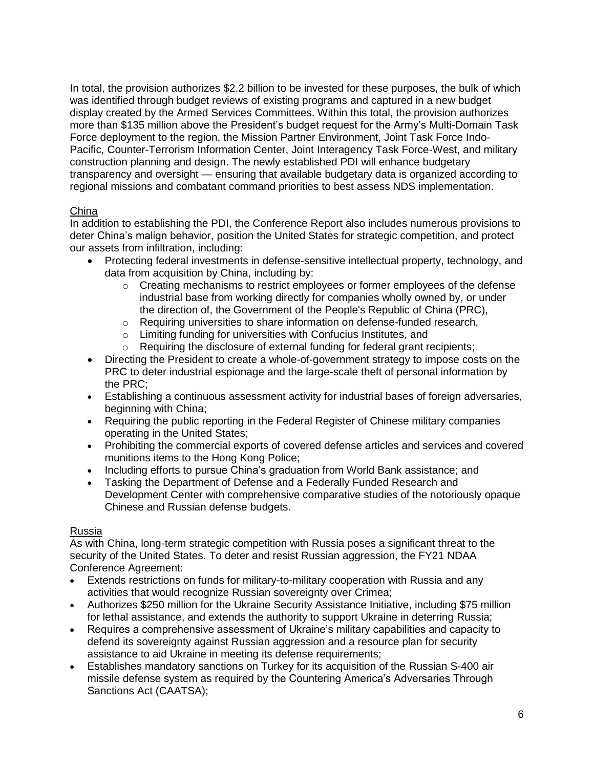In total, the provision authorizes \$2.2 billion to be invested for these purposes, the bulk of which was identified through budget reviews of existing programs and captured in a new budget display created by the Armed Services Committees. Within this total, the provision authorizes more than \$135 million above the President's budget request for the Army's Multi-Domain Task Force deployment to the region, the Mission Partner Environment, Joint Task Force Indo-Pacific, Counter-Terrorism Information Center, Joint Interagency Task Force-West, and military construction planning and design. The newly established PDI will enhance budgetary transparency and oversight — ensuring that available budgetary data is organized according to regional missions and combatant command priorities to best assess NDS implementation.

## China

In addition to establishing the PDI, the Conference Report also includes numerous provisions to deter China's malign behavior, position the United States for strategic competition, and protect our assets from infiltration, including:

- Protecting federal investments in defense-sensitive intellectual property, technology, and data from acquisition by China, including by:
	- $\circ$  Creating mechanisms to restrict employees or former employees of the defense industrial base from working directly for companies wholly owned by, or under the direction of, the Government of the People's Republic of China (PRC),
	- $\circ$  Requiring universities to share information on defense-funded research,
	- o Limiting funding for universities with Confucius Institutes, and
	- o Requiring the disclosure of external funding for federal grant recipients;
- Directing the President to create a whole-of-government strategy to impose costs on the PRC to deter industrial espionage and the large-scale theft of personal information by the PRC;
- Establishing a continuous assessment activity for industrial bases of foreign adversaries, beginning with China;
- Requiring the public reporting in the Federal Register of Chinese military companies operating in the United States;
- Prohibiting the commercial exports of covered defense articles and services and covered munitions items to the Hong Kong Police;
- Including efforts to pursue China's graduation from World Bank assistance; and
- Tasking the Department of Defense and a Federally Funded Research and Development Center with comprehensive comparative studies of the notoriously opaque Chinese and Russian defense budgets.

## Russia

As with China, long-term strategic competition with Russia poses a significant threat to the security of the United States. To deter and resist Russian aggression, the FY21 NDAA Conference Agreement:

- Extends restrictions on funds for military-to-military cooperation with Russia and any activities that would recognize Russian sovereignty over Crimea;
- Authorizes \$250 million for the Ukraine Security Assistance Initiative, including \$75 million for lethal assistance, and extends the authority to support Ukraine in deterring Russia;
- Requires a comprehensive assessment of Ukraine's military capabilities and capacity to defend its sovereignty against Russian aggression and a resource plan for security assistance to aid Ukraine in meeting its defense requirements;
- Establishes mandatory sanctions on Turkey for its acquisition of the Russian S-400 air missile defense system as required by the Countering America's Adversaries Through Sanctions Act (CAATSA);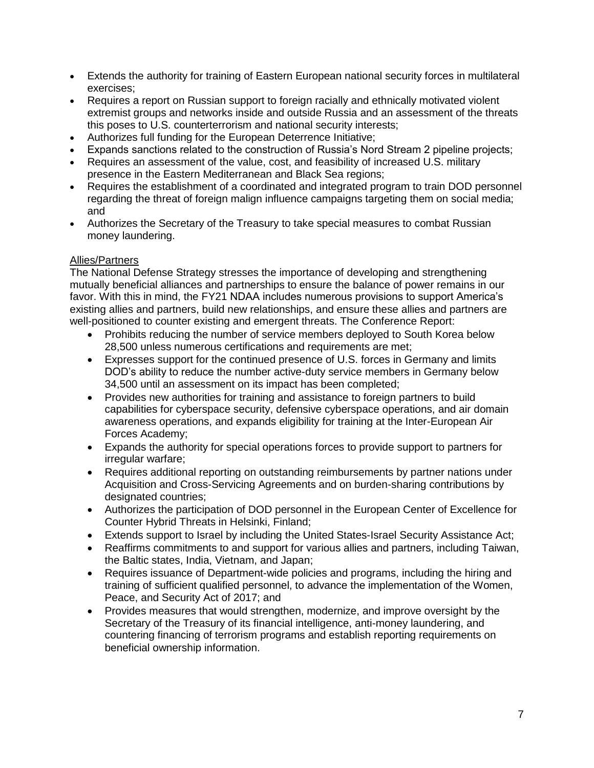- Extends the authority for training of Eastern European national security forces in multilateral exercises;
- Requires a report on Russian support to foreign racially and ethnically motivated violent extremist groups and networks inside and outside Russia and an assessment of the threats this poses to U.S. counterterrorism and national security interests;
- Authorizes full funding for the European Deterrence Initiative;
- Expands sanctions related to the construction of Russia's Nord Stream 2 pipeline projects;
- Requires an assessment of the value, cost, and feasibility of increased U.S. military presence in the Eastern Mediterranean and Black Sea regions;
- Requires the establishment of a coordinated and integrated program to train DOD personnel regarding the threat of foreign malign influence campaigns targeting them on social media; and
- Authorizes the Secretary of the Treasury to take special measures to combat Russian money laundering.

# Allies/Partners

The National Defense Strategy stresses the importance of developing and strengthening mutually beneficial alliances and partnerships to ensure the balance of power remains in our favor. With this in mind, the FY21 NDAA includes numerous provisions to support America's existing allies and partners, build new relationships, and ensure these allies and partners are well-positioned to counter existing and emergent threats. The Conference Report:

- Prohibits reducing the number of service members deployed to South Korea below 28,500 unless numerous certifications and requirements are met;
- Expresses support for the continued presence of U.S. forces in Germany and limits DOD's ability to reduce the number active-duty service members in Germany below 34,500 until an assessment on its impact has been completed;
- Provides new authorities for training and assistance to foreign partners to build capabilities for cyberspace security, defensive cyberspace operations, and air domain awareness operations, and expands eligibility for training at the Inter-European Air Forces Academy;
- Expands the authority for special operations forces to provide support to partners for irregular warfare;
- Requires additional reporting on outstanding reimbursements by partner nations under Acquisition and Cross-Servicing Agreements and on burden-sharing contributions by designated countries;
- Authorizes the participation of DOD personnel in the European Center of Excellence for Counter Hybrid Threats in Helsinki, Finland;
- Extends support to Israel by including the United States-Israel Security Assistance Act;
- Reaffirms commitments to and support for various allies and partners, including Taiwan, the Baltic states, India, Vietnam, and Japan;
- Requires issuance of Department-wide policies and programs, including the hiring and training of sufficient qualified personnel, to advance the implementation of the Women, Peace, and Security Act of 2017; and
- Provides measures that would strengthen, modernize, and improve oversight by the Secretary of the Treasury of its financial intelligence, anti-money laundering, and countering financing of terrorism programs and establish reporting requirements on beneficial ownership information.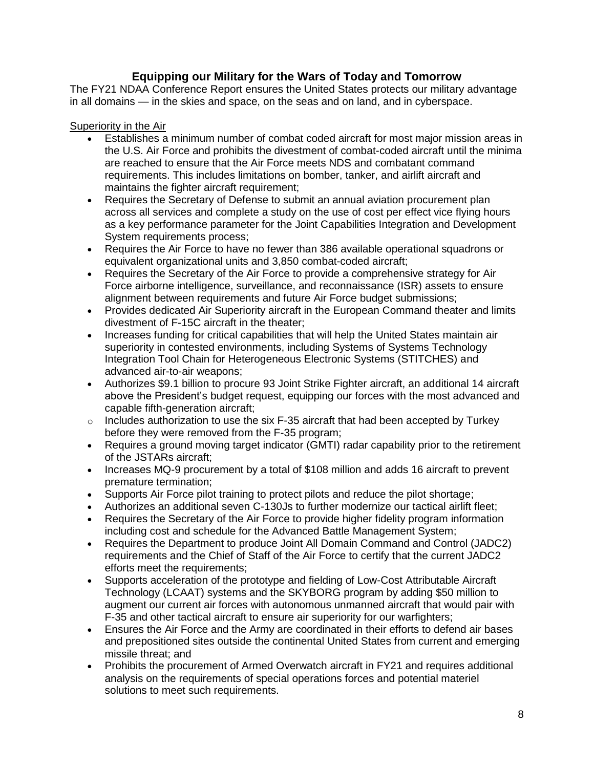# **Equipping our Military for the Wars of Today and Tomorrow**

The FY21 NDAA Conference Report ensures the United States protects our military advantage in all domains — in the skies and space, on the seas and on land, and in cyberspace.

## Superiority in the Air

- Establishes a minimum number of combat coded aircraft for most major mission areas in the U.S. Air Force and prohibits the divestment of combat-coded aircraft until the minima are reached to ensure that the Air Force meets NDS and combatant command requirements. This includes limitations on bomber, tanker, and airlift aircraft and maintains the fighter aircraft requirement;
- Requires the Secretary of Defense to submit an annual aviation procurement plan across all services and complete a study on the use of cost per effect vice flying hours as a key performance parameter for the Joint Capabilities Integration and Development System requirements process;
- Requires the Air Force to have no fewer than 386 available operational squadrons or equivalent organizational units and 3,850 combat-coded aircraft;
- Requires the Secretary of the Air Force to provide a comprehensive strategy for Air Force airborne intelligence, surveillance, and reconnaissance (ISR) assets to ensure alignment between requirements and future Air Force budget submissions;
- Provides dedicated Air Superiority aircraft in the European Command theater and limits divestment of F-15C aircraft in the theater;
- Increases funding for critical capabilities that will help the United States maintain air superiority in contested environments, including Systems of Systems Technology Integration Tool Chain for Heterogeneous Electronic Systems (STITCHES) and advanced air-to-air weapons;
- Authorizes \$9.1 billion to procure 93 Joint Strike Fighter aircraft, an additional 14 aircraft above the President's budget request, equipping our forces with the most advanced and capable fifth-generation aircraft;
- o Includes authorization to use the six F-35 aircraft that had been accepted by Turkey before they were removed from the F-35 program;
- Requires a ground moving target indicator (GMTI) radar capability prior to the retirement of the JSTARs aircraft;
- Increases MQ-9 procurement by a total of \$108 million and adds 16 aircraft to prevent premature termination;
- Supports Air Force pilot training to protect pilots and reduce the pilot shortage;
- Authorizes an additional seven C-130Js to further modernize our tactical airlift fleet;
- Requires the Secretary of the Air Force to provide higher fidelity program information including cost and schedule for the Advanced Battle Management System;
- Requires the Department to produce Joint All Domain Command and Control (JADC2) requirements and the Chief of Staff of the Air Force to certify that the current JADC2 efforts meet the requirements;
- Supports acceleration of the prototype and fielding of Low-Cost Attributable Aircraft Technology (LCAAT) systems and the SKYBORG program by adding \$50 million to augment our current air forces with autonomous unmanned aircraft that would pair with F-35 and other tactical aircraft to ensure air superiority for our warfighters;
- Ensures the Air Force and the Army are coordinated in their efforts to defend air bases and prepositioned sites outside the continental United States from current and emerging missile threat; and
- Prohibits the procurement of Armed Overwatch aircraft in FY21 and requires additional analysis on the requirements of special operations forces and potential materiel solutions to meet such requirements.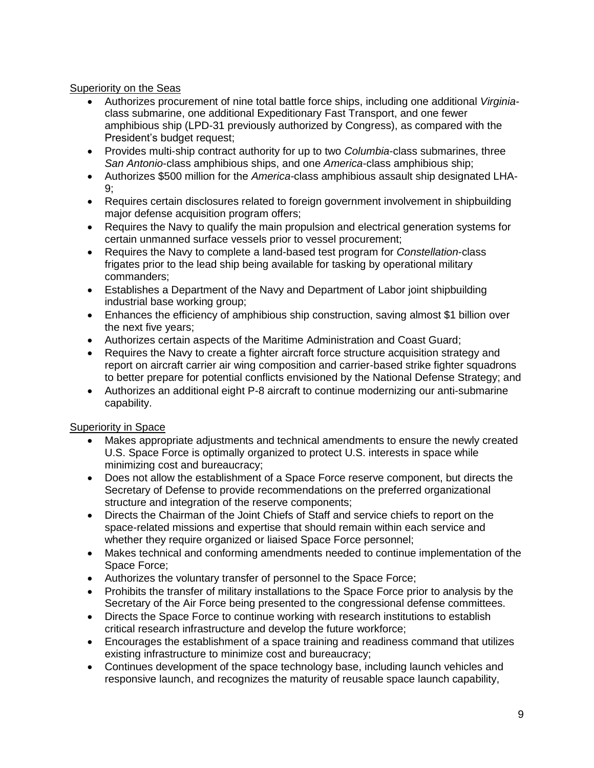## Superiority on the Seas

- Authorizes procurement of nine total battle force ships, including one additional *Virginia*class submarine, one additional Expeditionary Fast Transport, and one fewer amphibious ship (LPD-31 previously authorized by Congress), as compared with the President's budget request;
- Provides multi-ship contract authority for up to two *Columbia*-class submarines, three *San Antonio*-class amphibious ships, and one *America*-class amphibious ship;
- Authorizes \$500 million for the *America-*class amphibious assault ship designated LHA-9;
- Requires certain disclosures related to foreign government involvement in shipbuilding major defense acquisition program offers;
- Requires the Navy to qualify the main propulsion and electrical generation systems for certain unmanned surface vessels prior to vessel procurement;
- Requires the Navy to complete a land-based test program for *Constellation*-class frigates prior to the lead ship being available for tasking by operational military commanders;
- Establishes a Department of the Navy and Department of Labor joint shipbuilding industrial base working group;
- Enhances the efficiency of amphibious ship construction, saving almost \$1 billion over the next five years;
- Authorizes certain aspects of the Maritime Administration and Coast Guard;
- Requires the Navy to create a fighter aircraft force structure acquisition strategy and report on aircraft carrier air wing composition and carrier-based strike fighter squadrons to better prepare for potential conflicts envisioned by the National Defense Strategy; and
- Authorizes an additional eight P-8 aircraft to continue modernizing our anti-submarine capability.

# Superiority in Space

- Makes appropriate adjustments and technical amendments to ensure the newly created U.S. Space Force is optimally organized to protect U.S. interests in space while minimizing cost and bureaucracy;
- Does not allow the establishment of a Space Force reserve component, but directs the Secretary of Defense to provide recommendations on the preferred organizational structure and integration of the reserve components;
- Directs the Chairman of the Joint Chiefs of Staff and service chiefs to report on the space-related missions and expertise that should remain within each service and whether they require organized or liaised Space Force personnel;
- Makes technical and conforming amendments needed to continue implementation of the Space Force;
- Authorizes the voluntary transfer of personnel to the Space Force;
- Prohibits the transfer of military installations to the Space Force prior to analysis by the Secretary of the Air Force being presented to the congressional defense committees.
- Directs the Space Force to continue working with research institutions to establish critical research infrastructure and develop the future workforce;
- Encourages the establishment of a space training and readiness command that utilizes existing infrastructure to minimize cost and bureaucracy;
- Continues development of the space technology base, including launch vehicles and responsive launch, and recognizes the maturity of reusable space launch capability,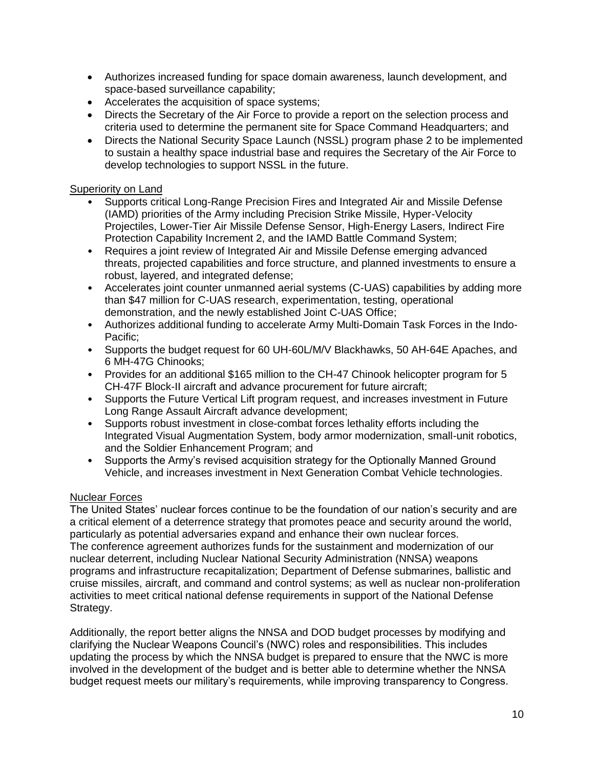- Authorizes increased funding for space domain awareness, launch development, and space-based surveillance capability;
- Accelerates the acquisition of space systems;
- Directs the Secretary of the Air Force to provide a report on the selection process and criteria used to determine the permanent site for Space Command Headquarters; and
- Directs the National Security Space Launch (NSSL) program phase 2 to be implemented to sustain a healthy space industrial base and requires the Secretary of the Air Force to develop technologies to support NSSL in the future.

## Superiority on Land

- Supports critical Long-Range Precision Fires and Integrated Air and Missile Defense (IAMD) priorities of the Army including Precision Strike Missile, Hyper-Velocity Projectiles, Lower-Tier Air Missile Defense Sensor, High-Energy Lasers, Indirect Fire Protection Capability Increment 2, and the IAMD Battle Command System;
- Requires a joint review of Integrated Air and Missile Defense emerging advanced threats, projected capabilities and force structure, and planned investments to ensure a robust, layered, and integrated defense;
- Accelerates joint counter unmanned aerial systems (C-UAS) capabilities by adding more than \$47 million for C-UAS research, experimentation, testing, operational demonstration, and the newly established Joint C-UAS Office;
- Authorizes additional funding to accelerate Army Multi-Domain Task Forces in the Indo-Pacific;
- Supports the budget request for 60 UH-60L/M/V Blackhawks, 50 AH-64E Apaches, and 6 MH-47G Chinooks;
- Provides for an additional \$165 million to the CH-47 Chinook helicopter program for 5 CH-47F Block-II aircraft and advance procurement for future aircraft;
- Supports the Future Vertical Lift program request, and increases investment in Future Long Range Assault Aircraft advance development;
- Supports robust investment in close-combat forces lethality efforts including the Integrated Visual Augmentation System, body armor modernization, small-unit robotics, and the Soldier Enhancement Program; and
- Supports the Army's revised acquisition strategy for the Optionally Manned Ground Vehicle, and increases investment in Next Generation Combat Vehicle technologies.

## Nuclear Forces

The United States' nuclear forces continue to be the foundation of our nation's security and are a critical element of a deterrence strategy that promotes peace and security around the world, particularly as potential adversaries expand and enhance their own nuclear forces. The conference agreement authorizes funds for the sustainment and modernization of our nuclear deterrent, including Nuclear National Security Administration (NNSA) weapons programs and infrastructure recapitalization; Department of Defense submarines, ballistic and cruise missiles, aircraft, and command and control systems; as well as nuclear non-proliferation activities to meet critical national defense requirements in support of the National Defense Strategy.

Additionally, the report better aligns the NNSA and DOD budget processes by modifying and clarifying the Nuclear Weapons Council's (NWC) roles and responsibilities. This includes updating the process by which the NNSA budget is prepared to ensure that the NWC is more involved in the development of the budget and is better able to determine whether the NNSA budget request meets our military's requirements, while improving transparency to Congress.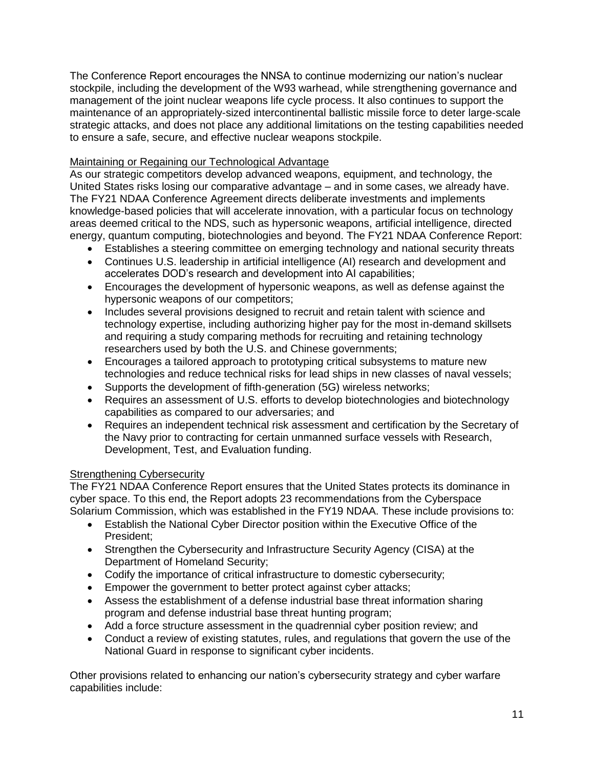The Conference Report encourages the NNSA to continue modernizing our nation's nuclear stockpile, including the development of the W93 warhead, while strengthening governance and management of the joint nuclear weapons life cycle process. It also continues to support the maintenance of an appropriately-sized intercontinental ballistic missile force to deter large-scale strategic attacks, and does not place any additional limitations on the testing capabilities needed to ensure a safe, secure, and effective nuclear weapons stockpile.

# Maintaining or Regaining our Technological Advantage

As our strategic competitors develop advanced weapons, equipment, and technology, the United States risks losing our comparative advantage – and in some cases, we already have. The FY21 NDAA Conference Agreement directs deliberate investments and implements knowledge-based policies that will accelerate innovation, with a particular focus on technology areas deemed critical to the NDS, such as hypersonic weapons, artificial intelligence, directed energy, quantum computing, biotechnologies and beyond. The FY21 NDAA Conference Report:

- Establishes a steering committee on emerging technology and national security threats
- Continues U.S. leadership in artificial intelligence (AI) research and development and accelerates DOD's research and development into AI capabilities;
- Encourages the development of hypersonic weapons, as well as defense against the hypersonic weapons of our competitors;
- Includes several provisions designed to recruit and retain talent with science and technology expertise, including authorizing higher pay for the most in-demand skillsets and requiring a study comparing methods for recruiting and retaining technology researchers used by both the U.S. and Chinese governments;
- Encourages a tailored approach to prototyping critical subsystems to mature new technologies and reduce technical risks for lead ships in new classes of naval vessels;
- Supports the development of fifth-generation (5G) wireless networks;
- Requires an assessment of U.S. efforts to develop biotechnologies and biotechnology capabilities as compared to our adversaries; and
- Requires an independent technical risk assessment and certification by the Secretary of the Navy prior to contracting for certain unmanned surface vessels with Research, Development, Test, and Evaluation funding.

# **Strengthening Cybersecurity**

The FY21 NDAA Conference Report ensures that the United States protects its dominance in cyber space. To this end, the Report adopts 23 recommendations from the Cyberspace Solarium Commission, which was established in the FY19 NDAA. These include provisions to:

- Establish the National Cyber Director position within the Executive Office of the President;
- Strengthen the Cybersecurity and Infrastructure Security Agency (CISA) at the Department of Homeland Security;
- Codify the importance of critical infrastructure to domestic cybersecurity;
- **Empower the government to better protect against cyber attacks;**
- Assess the establishment of a defense industrial base threat information sharing program and defense industrial base threat hunting program;
- Add a force structure assessment in the quadrennial cyber position review; and
- Conduct a review of existing statutes, rules, and regulations that govern the use of the National Guard in response to significant cyber incidents.

Other provisions related to enhancing our nation's cybersecurity strategy and cyber warfare capabilities include: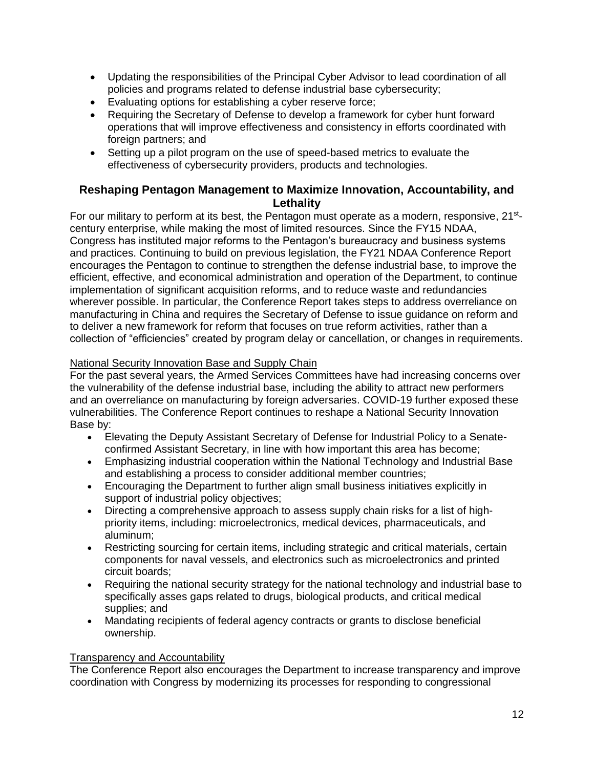- Updating the responsibilities of the Principal Cyber Advisor to lead coordination of all policies and programs related to defense industrial base cybersecurity;
- Evaluating options for establishing a cyber reserve force;
- Requiring the Secretary of Defense to develop a framework for cyber hunt forward operations that will improve effectiveness and consistency in efforts coordinated with foreign partners; and
- Setting up a pilot program on the use of speed-based metrics to evaluate the effectiveness of cybersecurity providers, products and technologies.

## **Reshaping Pentagon Management to Maximize Innovation, Accountability, and Lethality**

For our military to perform at its best, the Pentagon must operate as a modern, responsive, 21<sup>st</sup>century enterprise, while making the most of limited resources. Since the FY15 NDAA, Congress has instituted major reforms to the Pentagon's bureaucracy and business systems and practices. Continuing to build on previous legislation, the FY21 NDAA Conference Report encourages the Pentagon to continue to strengthen the defense industrial base, to improve the efficient, effective, and economical administration and operation of the Department, to continue implementation of significant acquisition reforms, and to reduce waste and redundancies wherever possible. In particular, the Conference Report takes steps to address overreliance on manufacturing in China and requires the Secretary of Defense to issue guidance on reform and to deliver a new framework for reform that focuses on true reform activities, rather than a collection of "efficiencies" created by program delay or cancellation, or changes in requirements.

## National Security Innovation Base and Supply Chain

For the past several years, the Armed Services Committees have had increasing concerns over the vulnerability of the defense industrial base, including the ability to attract new performers and an overreliance on manufacturing by foreign adversaries. COVID-19 further exposed these vulnerabilities. The Conference Report continues to reshape a National Security Innovation Base by:

- Elevating the Deputy Assistant Secretary of Defense for Industrial Policy to a Senateconfirmed Assistant Secretary, in line with how important this area has become;
- Emphasizing industrial cooperation within the National Technology and Industrial Base and establishing a process to consider additional member countries;
- Encouraging the Department to further align small business initiatives explicitly in support of industrial policy objectives;
- Directing a comprehensive approach to assess supply chain risks for a list of highpriority items, including: microelectronics, medical devices, pharmaceuticals, and aluminum;
- Restricting sourcing for certain items, including strategic and critical materials, certain components for naval vessels, and electronics such as microelectronics and printed circuit boards;
- Requiring the national security strategy for the national technology and industrial base to specifically asses gaps related to drugs, biological products, and critical medical supplies; and
- Mandating recipients of federal agency contracts or grants to disclose beneficial ownership.

## Transparency and Accountability

The Conference Report also encourages the Department to increase transparency and improve coordination with Congress by modernizing its processes for responding to congressional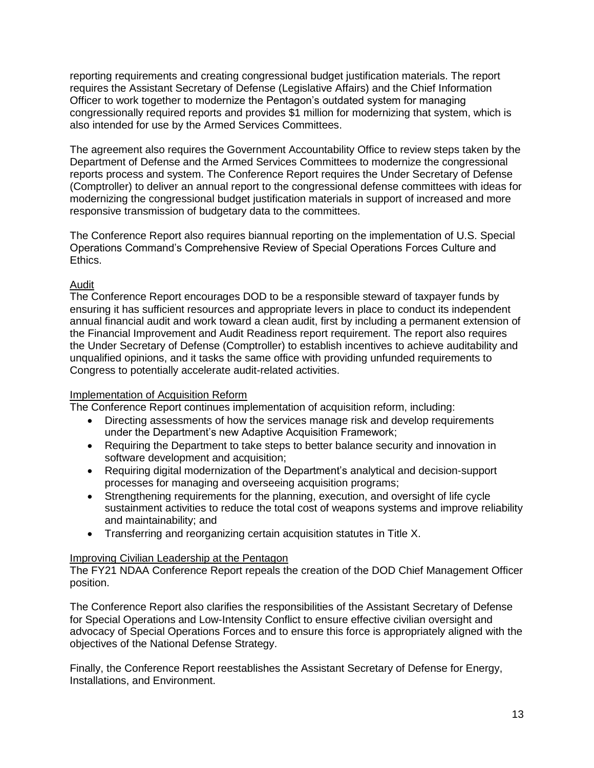reporting requirements and creating congressional budget justification materials. The report requires the Assistant Secretary of Defense (Legislative Affairs) and the Chief Information Officer to work together to modernize the Pentagon's outdated system for managing congressionally required reports and provides \$1 million for modernizing that system, which is also intended for use by the Armed Services Committees.

The agreement also requires the Government Accountability Office to review steps taken by the Department of Defense and the Armed Services Committees to modernize the congressional reports process and system. The Conference Report requires the Under Secretary of Defense (Comptroller) to deliver an annual report to the congressional defense committees with ideas for modernizing the congressional budget justification materials in support of increased and more responsive transmission of budgetary data to the committees.

The Conference Report also requires biannual reporting on the implementation of U.S. Special Operations Command's Comprehensive Review of Special Operations Forces Culture and Ethics.

# Audit

The Conference Report encourages DOD to be a responsible steward of taxpayer funds by ensuring it has sufficient resources and appropriate levers in place to conduct its independent annual financial audit and work toward a clean audit, first by including a permanent extension of the Financial Improvement and Audit Readiness report requirement. The report also requires the Under Secretary of Defense (Comptroller) to establish incentives to achieve auditability and unqualified opinions, and it tasks the same office with providing unfunded requirements to Congress to potentially accelerate audit-related activities.

## Implementation of Acquisition Reform

The Conference Report continues implementation of acquisition reform, including:

- Directing assessments of how the services manage risk and develop requirements under the Department's new Adaptive Acquisition Framework;
- Requiring the Department to take steps to better balance security and innovation in software development and acquisition;
- Requiring digital modernization of the Department's analytical and decision-support processes for managing and overseeing acquisition programs;
- Strengthening requirements for the planning, execution, and oversight of life cycle sustainment activities to reduce the total cost of weapons systems and improve reliability and maintainability; and
- Transferring and reorganizing certain acquisition statutes in Title X.

# Improving Civilian Leadership at the Pentagon

The FY21 NDAA Conference Report repeals the creation of the DOD Chief Management Officer position.

The Conference Report also clarifies the responsibilities of the Assistant Secretary of Defense for Special Operations and Low-Intensity Conflict to ensure effective civilian oversight and advocacy of Special Operations Forces and to ensure this force is appropriately aligned with the objectives of the National Defense Strategy.

Finally, the Conference Report reestablishes the Assistant Secretary of Defense for Energy, Installations, and Environment.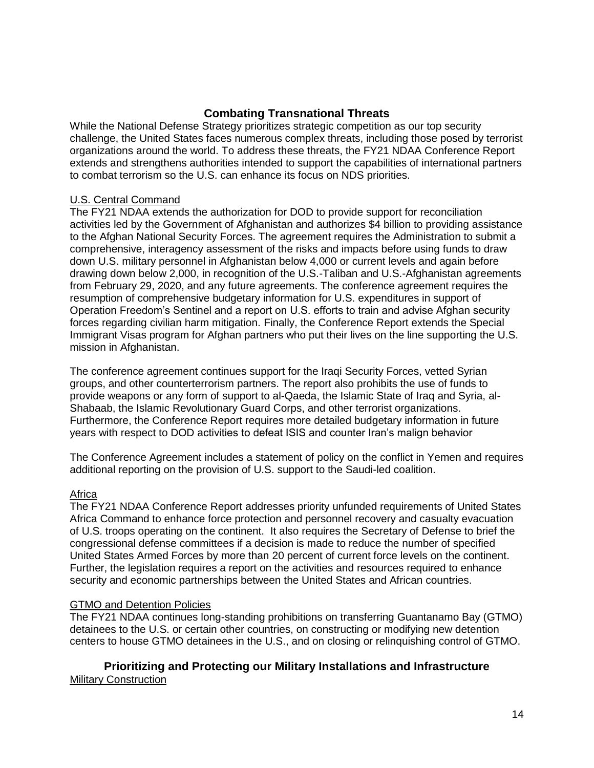## **Combating Transnational Threats**

While the National Defense Strategy prioritizes strategic competition as our top security challenge, the United States faces numerous complex threats, including those posed by terrorist organizations around the world. To address these threats, the FY21 NDAA Conference Report extends and strengthens authorities intended to support the capabilities of international partners to combat terrorism so the U.S. can enhance its focus on NDS priorities.

## U.S. Central Command

The FY21 NDAA extends the authorization for DOD to provide support for reconciliation activities led by the Government of Afghanistan and authorizes \$4 billion to providing assistance to the Afghan National Security Forces. The agreement requires the Administration to submit a comprehensive, interagency assessment of the risks and impacts before using funds to draw down U.S. military personnel in Afghanistan below 4,000 or current levels and again before drawing down below 2,000, in recognition of the U.S.-Taliban and U.S.-Afghanistan agreements from February 29, 2020, and any future agreements. The conference agreement requires the resumption of comprehensive budgetary information for U.S. expenditures in support of Operation Freedom's Sentinel and a report on U.S. efforts to train and advise Afghan security forces regarding civilian harm mitigation. Finally, the Conference Report extends the Special Immigrant Visas program for Afghan partners who put their lives on the line supporting the U.S. mission in Afghanistan.

The conference agreement continues support for the Iraqi Security Forces, vetted Syrian groups, and other counterterrorism partners. The report also prohibits the use of funds to provide weapons or any form of support to al-Qaeda, the Islamic State of Iraq and Syria, al-Shabaab, the Islamic Revolutionary Guard Corps, and other terrorist organizations. Furthermore, the Conference Report requires more detailed budgetary information in future years with respect to DOD activities to defeat ISIS and counter Iran's malign behavior

The Conference Agreement includes a statement of policy on the conflict in Yemen and requires additional reporting on the provision of U.S. support to the Saudi-led coalition.

#### Africa

The FY21 NDAA Conference Report addresses priority unfunded requirements of United States Africa Command to enhance force protection and personnel recovery and casualty evacuation of U.S. troops operating on the continent. It also requires the Secretary of Defense to brief the congressional defense committees if a decision is made to reduce the number of specified United States Armed Forces by more than 20 percent of current force levels on the continent. Further, the legislation requires a report on the activities and resources required to enhance security and economic partnerships between the United States and African countries.

#### GTMO and Detention Policies

The FY21 NDAA continues long-standing prohibitions on transferring Guantanamo Bay (GTMO) detainees to the U.S. or certain other countries, on constructing or modifying new detention centers to house GTMO detainees in the U.S., and on closing or relinquishing control of GTMO.

**Prioritizing and Protecting our Military Installations and Infrastructure** Military Construction